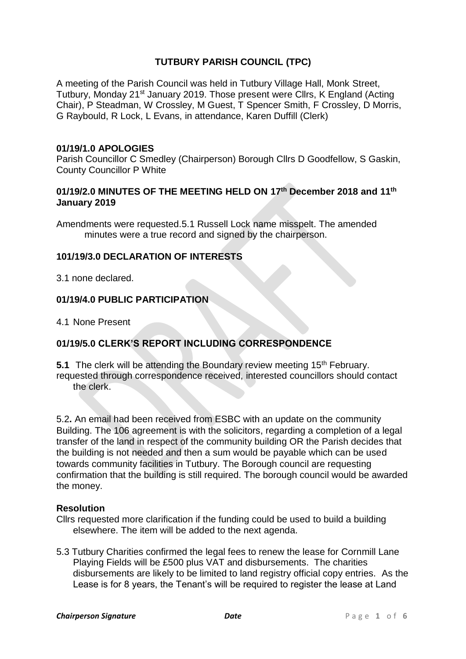## **TUTBURY PARISH COUNCIL (TPC)**

A meeting of the Parish Council was held in Tutbury Village Hall, Monk Street, Tutbury, Monday 21st January 2019. Those present were Cllrs, K England (Acting Chair), P Steadman, W Crossley, M Guest, T Spencer Smith, F Crossley, D Morris, G Raybould, R Lock, L Evans, in attendance, Karen Duffill (Clerk)

#### **01/19/1.0 APOLOGIES**

Parish Councillor C Smedley (Chairperson) Borough Cllrs D Goodfellow, S Gaskin, County Councillor P White

#### **01/19/2.0 MINUTES OF THE MEETING HELD ON 17 th December 2018 and 11th January 2019**

Amendments were requested.5.1 Russell Lock name misspelt. The amended minutes were a true record and signed by the chairperson.

#### **101/19/3.0 DECLARATION OF INTERESTS**

3.1 none declared.

#### **01/19/4.0 PUBLIC PARTICIPATION**

4.1 None Present

## **01/19/5.0 CLERK'S REPORT INCLUDING CORRESPONDENCE**

**5.1** The clerk will be attending the Boundary review meeting 15<sup>th</sup> February. requested through correspondence received, interested councillors should contact the clerk.

5.2**.** An email had been received from ESBC with an update on the community Building. The 106 agreement is with the solicitors, regarding a completion of a legal transfer of the land in respect of the community building OR the Parish decides that the building is not needed and then a sum would be payable which can be used towards community facilities in Tutbury. The Borough council are requesting confirmation that the building is still required. The borough council would be awarded the money.

#### **Resolution**

- Cllrs requested more clarification if the funding could be used to build a building elsewhere. The item will be added to the next agenda.
- 5.3 Tutbury Charities confirmed the legal fees to renew the lease for Cornmill Lane Playing Fields will be £500 plus VAT and disbursements. The charities disbursements are likely to be limited to land registry official copy entries. As the Lease is for 8 years, the Tenant's will be required to register the lease at Land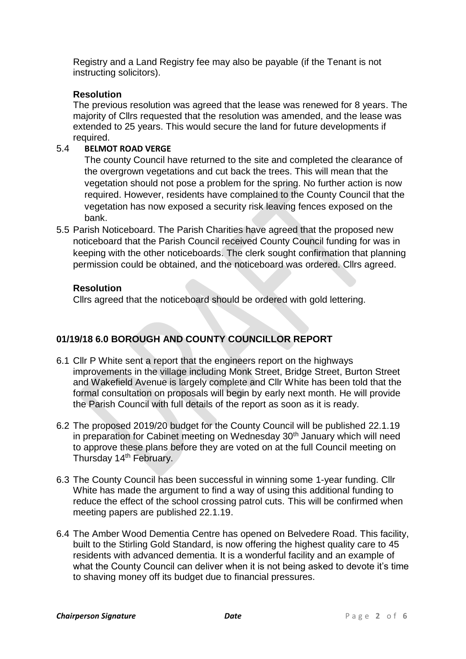Registry and a Land Registry fee may also be payable (if the Tenant is not instructing solicitors).

#### **Resolution**

The previous resolution was agreed that the lease was renewed for 8 years. The majority of Cllrs requested that the resolution was amended, and the lease was extended to 25 years. This would secure the land for future developments if required.

#### 5.4 **BELMOT ROAD VERGE**

The county Council have returned to the site and completed the clearance of the overgrown vegetations and cut back the trees. This will mean that the vegetation should not pose a problem for the spring. No further action is now required. However, residents have complained to the County Council that the vegetation has now exposed a security risk leaving fences exposed on the bank.

5.5 Parish Noticeboard. The Parish Charities have agreed that the proposed new noticeboard that the Parish Council received County Council funding for was in keeping with the other noticeboards. The clerk sought confirmation that planning permission could be obtained, and the noticeboard was ordered. Cllrs agreed.

#### **Resolution**

Cllrs agreed that the noticeboard should be ordered with gold lettering.

## **01/19/18 6.0 BOROUGH AND COUNTY COUNCILLOR REPORT**

- 6.1 Cllr P White sent a report that the engineers report on the highways improvements in the village including Monk Street, Bridge Street, Burton Street and Wakefield Avenue is largely complete and Cllr White has been told that the formal consultation on proposals will begin by early next month. He will provide the Parish Council with full details of the report as soon as it is ready.
- 6.2 The proposed 2019/20 budget for the County Council will be published 22.1.19 in preparation for Cabinet meeting on Wednesday 30<sup>th</sup> January which will need to approve these plans before they are voted on at the full Council meeting on Thursday 14<sup>th</sup> February.
- 6.3 The County Council has been successful in winning some 1-year funding. Cllr White has made the argument to find a way of using this additional funding to reduce the effect of the school crossing patrol cuts. This will be confirmed when meeting papers are published 22.1.19.
- 6.4 The Amber Wood Dementia Centre has opened on Belvedere Road. This facility, built to the Stirling Gold Standard, is now offering the highest quality care to 45 residents with advanced dementia. It is a wonderful facility and an example of what the County Council can deliver when it is not being asked to devote it's time to shaving money off its budget due to financial pressures.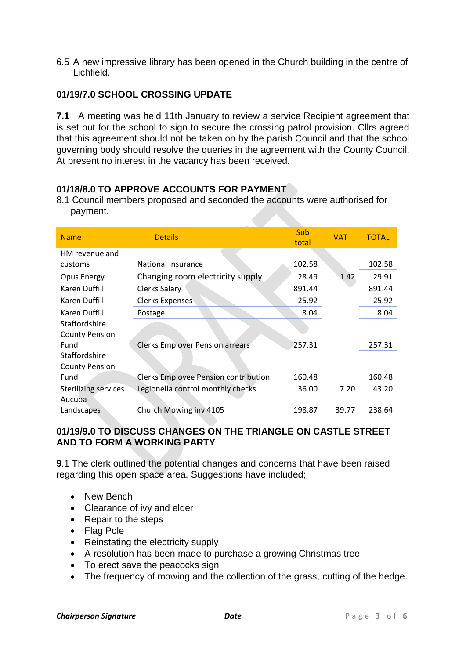6.5 A new impressive library has been opened in the Church building in the centre of Lichfield.

## **01/19/7.0 SCHOOL CROSSING UPDATE**

**7.1** A meeting was held 11th January to review a service Recipient agreement that is set out for the school to sign to secure the crossing patrol provision. Cllrs agreed that this agreement should not be taken on by the parish Council and that the school governing body should resolve the queries in the agreement with the County Council. At present no interest in the vacancy has been received.

## **01/18/8.0 TO APPROVE ACCOUNTS FOR PAYMENT**

8.1 Council members proposed and seconded the accounts were authorised for payment.

| <b>Name</b>                           | <b>Details</b>                              | Sub<br>total | <b>VAT</b> | <b>TOTAL</b> |
|---------------------------------------|---------------------------------------------|--------------|------------|--------------|
| HM revenue and                        |                                             |              |            |              |
| customs                               | <b>National Insurance</b>                   | 102.58       |            | 102.58       |
| Opus Energy                           | Changing room electricity supply            | 28.49        | 1.42       | 29.91        |
| Karen Duffill                         | Clerks Salary                               | 891.44       |            | 891.44       |
| Karen Duffill                         | <b>Clerks Expenses</b>                      | 25.92        |            | 25.92        |
| Karen Duffill                         | Postage                                     | 8.04         |            | 8.04         |
| Staffordshire                         |                                             |              |            |              |
| <b>County Pension</b>                 |                                             |              |            |              |
| Fund                                  | <b>Clerks Employer Pension arrears</b>      | 257.31       |            | 257.31       |
| Staffordshire                         |                                             |              |            |              |
| <b>County Pension</b>                 |                                             |              |            |              |
| Fund                                  | <b>Clerks Employee Pension contribution</b> | 160.48       |            | 160.48       |
| <b>Sterilizing services</b><br>Aucuba | Legionella control monthly checks           | 36.00        | 7.20       | 43.20        |
| Landscapes                            | Church Mowing inv 4105                      | 198.87       | 39.77      | 238.64       |

#### **01/19/9.0 TO DISCUSS CHANGES ON THE TRIANGLE ON CASTLE STREET AND TO FORM A WORKING PARTY**

**9**.1 The clerk outlined the potential changes and concerns that have been raised regarding this open space area. Suggestions have included;

- New Bench
- Clearance of ivy and elder
- Repair to the steps
- Flag Pole
- Reinstating the electricity supply
- A resolution has been made to purchase a growing Christmas tree
- To erect save the peacocks sign
- The frequency of mowing and the collection of the grass, cutting of the hedge.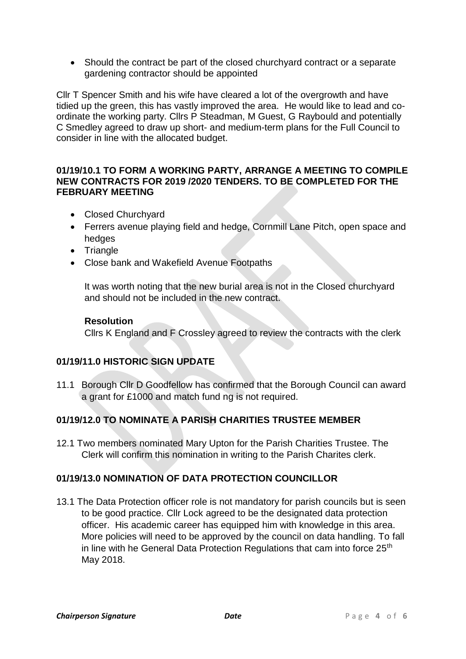• Should the contract be part of the closed churchyard contract or a separate gardening contractor should be appointed

Cllr T Spencer Smith and his wife have cleared a lot of the overgrowth and have tidied up the green, this has vastly improved the area. He would like to lead and coordinate the working party. Cllrs P Steadman, M Guest, G Raybould and potentially C Smedley agreed to draw up short- and medium-term plans for the Full Council to consider in line with the allocated budget.

#### **01/19/10.1 TO FORM A WORKING PARTY, ARRANGE A MEETING TO COMPILE NEW CONTRACTS FOR 2019 /2020 TENDERS. TO BE COMPLETED FOR THE FEBRUARY MEETING**

- Closed Churchyard
- Ferrers avenue playing field and hedge, Cornmill Lane Pitch, open space and hedges
- Triangle
- Close bank and Wakefield Avenue Footpaths

It was worth noting that the new burial area is not in the Closed churchyard and should not be included in the new contract.

#### **Resolution**

Cllrs K England and F Crossley agreed to review the contracts with the clerk

## **01/19/11.0 HISTORIC SIGN UPDATE**

11.1 Borough Cllr D Goodfellow has confirmed that the Borough Council can award a grant for £1000 and match fund ng is not required.

## **01/19/12.0 TO NOMINATE A PARISH CHARITIES TRUSTEE MEMBER**

12.1 Two members nominated Mary Upton for the Parish Charities Trustee. The Clerk will confirm this nomination in writing to the Parish Charites clerk.

## **01/19/13.0 NOMINATION OF DATA PROTECTION COUNCILLOR**

13.1 The Data Protection officer role is not mandatory for parish councils but is seen to be good practice. Cllr Lock agreed to be the designated data protection officer. His academic career has equipped him with knowledge in this area. More policies will need to be approved by the council on data handling. To fall in line with he General Data Protection Regulations that cam into force 25<sup>th</sup> May 2018.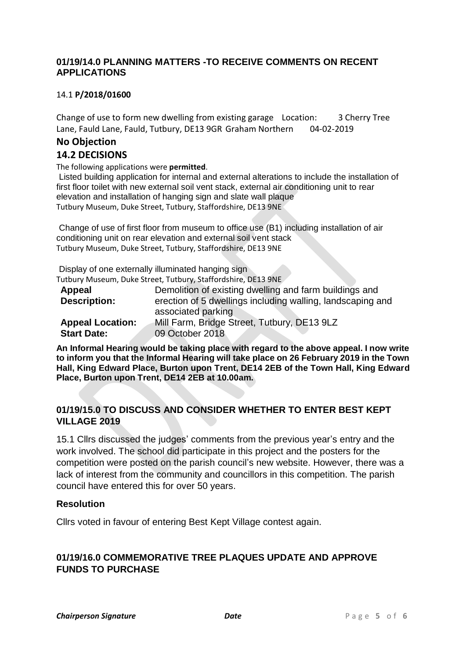#### **01/19/14.0 PLANNING MATTERS -TO RECEIVE COMMENTS ON RECENT APPLICATIONS**

#### 14.1 **P/2018/01600**

Change of use to form new dwelling from existing garage Location: 3 Cherry Tree Lane, Fauld Lane, Fauld, Tutbury, DE13 9GR Graham Northern 04-02-2019

# **No Objection**

### **14.2 DECISIONS**

The following applications were **permitted**.

Listed building application for internal and external alterations to include the installation of first floor toilet with new external soil vent stack, external air conditioning unit to rear elevation and installation of hanging sign and slate wall plaque Tutbury Museum, Duke Street, Tutbury, Staffordshire, DE13 9NE

Change of use of first floor from museum to office use (B1) including installation of air conditioning unit on rear elevation and external soil vent stack Tutbury Museum, Duke Street, Tutbury, Staffordshire, DE13 9NE

Display of one externally illuminated hanging sign

Tutbury Museum, Duke Street, Tutbury, Staffordshire, DE13 9NE

| Appeal                  | Demolition of existing dwelling and farm buildings and     |
|-------------------------|------------------------------------------------------------|
| <b>Description:</b>     | erection of 5 dwellings including walling, landscaping and |
|                         | associated parking                                         |
| <b>Appeal Location:</b> | Mill Farm, Bridge Street, Tutbury, DE13 9LZ                |
| <b>Start Date:</b>      | 09 October 2018                                            |

**An Informal Hearing would be taking place with regard to the above appeal. I now write to inform you that the Informal Hearing will take place on 26 February 2019 in the Town Hall, King Edward Place, Burton upon Trent, DE14 2EB of the Town Hall, King Edward Place, Burton upon Trent, DE14 2EB at 10.00am.**

## **01/19/15.0 TO DISCUSS AND CONSIDER WHETHER TO ENTER BEST KEPT VILLAGE 2019**

15.1 Cllrs discussed the judges' comments from the previous year's entry and the work involved. The school did participate in this project and the posters for the competition were posted on the parish council's new website. However, there was a lack of interest from the community and councillors in this competition. The parish council have entered this for over 50 years.

#### **Resolution**

Cllrs voted in favour of entering Best Kept Village contest again.

## **01/19/16.0 COMMEMORATIVE TREE PLAQUES UPDATE AND APPROVE FUNDS TO PURCHASE**